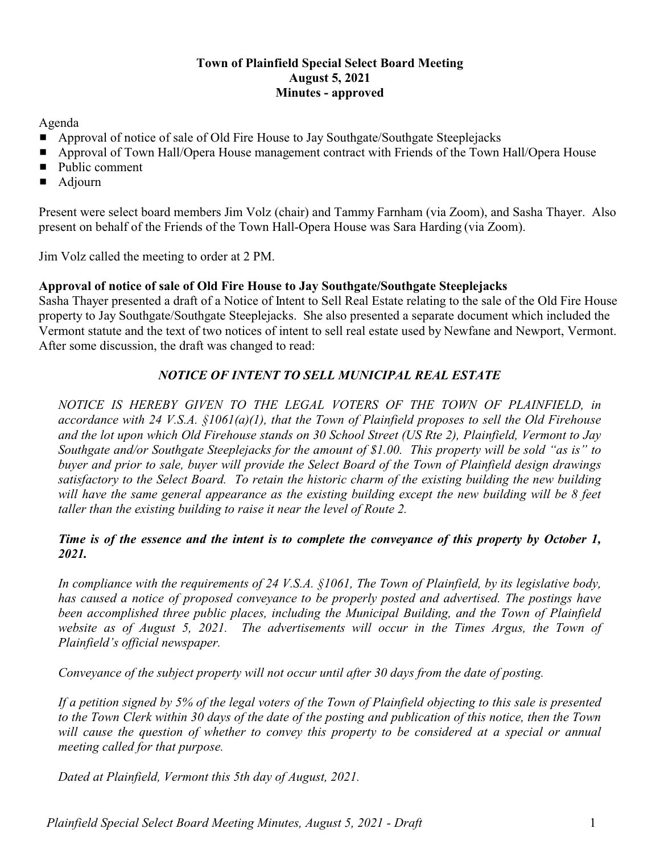## **Town of Plainfield Special Select Board Meeting August 5, 2021 Minutes - approved**

Agenda

- Approval of notice of sale of Old Fire House to Jay Southgate/Southgate Steeplejacks
- **Example 3 Approval of Town Hall/Opera House management contract with Friends of the Town Hall/Opera House**
- $\blacksquare$  Public comment
- $\blacksquare$  Adjourn

Present were select board members Jim Volz (chair) and Tammy Farnham (via Zoom), and Sasha Thayer. Also present on behalf of the Friends of the Town Hall-Opera House was Sara Harding (via Zoom).

Jim Volz called the meeting to order at 2 PM.

## **Approval of notice of sale of Old Fire House to Jay Southgate/Southgate Steeplejacks**

Sasha Thayer presented a draft of a Notice of Intent to Sell Real Estate relating to the sale of the Old Fire House property to Jay Southgate/Southgate Steeplejacks. She also presented a separate document which included the Vermont statute and the text of two notices of intent to sell real estate used by Newfane and Newport, Vermont. After some discussion, the draft was changed to read:

## *NOTICE OF INTENT TO SELL MUNICIPAL REAL ESTATE*

*NOTICE IS HEREBY GIVEN TO THE LEGAL VOTERS OF THE TOWN OF PLAINFIELD, in accordance with 24 V.S.A. §1061(a)(1), that the Town of Plainfield proposes to sell the Old Firehouse and the lot upon which Old Firehouse stands on 30 School Street (US Rte 2), Plainfield, Vermont to Jay Southgate and/or Southgate Steeplejacks for the amount of \$1.00. This property will be sold "as is" to buyer and prior to sale, buyer will provide the Select Board of the Town of Plainfield design drawings satisfactory to the Select Board. To retain the historic charm of the existing building the new building will have the same general appearance as the existing building except the new building will be 8 feet taller than the existing building to raise it near the level of Route 2.* 

## *Time is of the essence and the intent is to complete the conveyance of this property by October 1, 2021.*

*In compliance with the requirements of 24 V.S.A. §1061, The Town of Plainfield, by its legislative body, has caused a notice of proposed conveyance to be properly posted and advertised. The postings have been accomplished three public places, including the Municipal Building, and the Town of Plainfield website as of August 5, 2021. The advertisements will occur in the Times Argus, the Town of Plainfield's official newspaper.*

*Conveyance of the subject property will not occur until after 30 days from the date of posting.*

*If a petition signed by 5% of the legal voters of the Town of Plainfield objecting to this sale is presented to the Town Clerk within 30 days of the date of the posting and publication of this notice, then the Town will cause the question of whether to convey this property to be considered at a special or annual meeting called for that purpose.*

*Dated at Plainfield, Vermont this 5th day of August, 2021.*